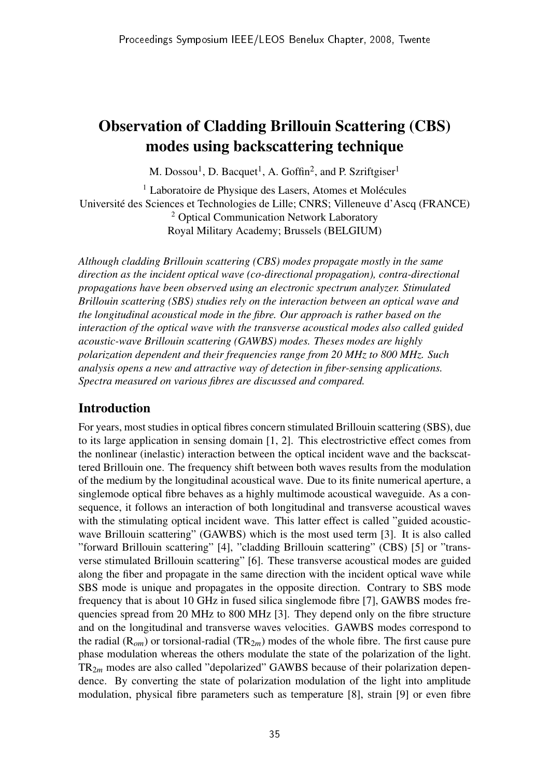# Observation of Cladding Brillouin Scattering (CBS) modes using backscattering technique

M. Dossou<sup>1</sup>, D. Bacquet<sup>1</sup>, A. Goffin<sup>2</sup>, and P. Szriftgiser<sup>1</sup>

<sup>1</sup> Laboratoire de Physique des Lasers, Atomes et Molécules Universite des Sciences et Technologies de Lille; CNRS; Villeneuve d'Ascq (FRANCE) ´ <sup>2</sup> Optical Communication Network Laboratory Royal Military Academy; Brussels (BELGIUM)

*Although cladding Brillouin scattering (CBS) modes propagate mostly in the same direction as the incident optical wave (co-directional propagation), contra-directional propagations have been observed using an electronic spectrum analyzer. Stimulated Brillouin scattering (SBS) studies rely on the interaction between an optical wave and the longitudinal acoustical mode in the fibre. Our approach is rather based on the interaction of the optical wave with the transverse acoustical modes also called guided acoustic-wave Brillouin scattering (GAWBS) modes. Theses modes are highly polarization dependent and their frequencies range from 20 MHz to 800 MHz. Such analysis opens a new and attractive way of detection in fiber-sensing applications. Spectra measured on various fibres are discussed and compared.*

#### Introduction

For years, most studies in optical fibres concern stimulated Brillouin scattering (SBS), due to its large application in sensing domain [1, 2]. This electrostrictive effect comes from the nonlinear (inelastic) interaction between the optical incident wave and the backscattered Brillouin one. The frequency shift between both waves results from the modulation of the medium by the longitudinal acoustical wave. Due to its finite numerical aperture, a singlemode optical fibre behaves as a highly multimode acoustical waveguide. As a consequence, it follows an interaction of both longitudinal and transverse acoustical waves with the stimulating optical incident wave. This latter effect is called "guided acousticwave Brillouin scattering" (GAWBS) which is the most used term [3]. It is also called "forward Brillouin scattering" [4], "cladding Brillouin scattering" (CBS) [5] or "transverse stimulated Brillouin scattering" [6]. These transverse acoustical modes are guided along the fiber and propagate in the same direction with the incident optical wave while SBS mode is unique and propagates in the opposite direction. Contrary to SBS mode frequency that is about 10 GHz in fused silica singlemode fibre [7], GAWBS modes frequencies spread from 20 MHz to 800 MHz [3]. They depend only on the fibre structure and on the longitudinal and transverse waves velocities. GAWBS modes correspond to the radial  $(R_{\alpha m})$  or torsional-radial  $TR_{2m}$ ) modes of the whole fibre. The first cause pure phase modulation whereas the others modulate the state of the polarization of the light. TR2*<sup>m</sup>* modes are also called "depolarized" GAWBS because of their polarization dependence. By converting the state of polarization modulation of the light into amplitude modulation, physical fibre parameters such as temperature [8], strain [9] or even fibre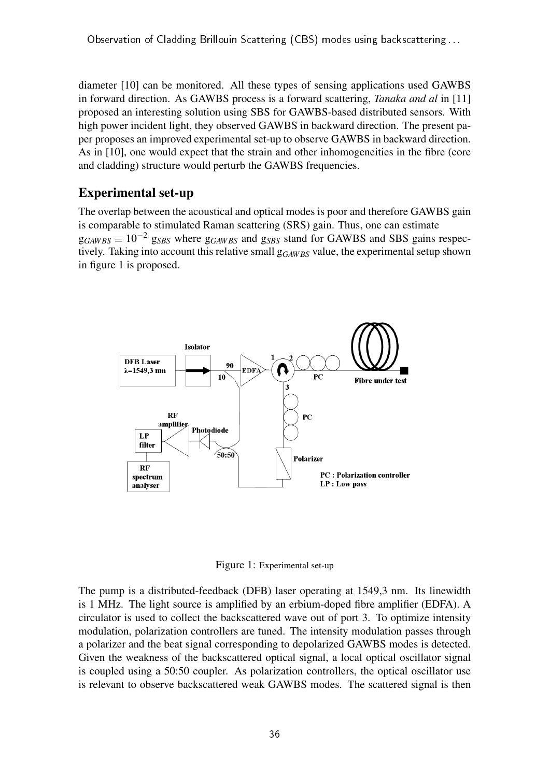diameter [10] can be monitored. All these types of sensing applications used GAWBS in forward direction. As GAWBS process is a forward scattering, *Tanaka and al* in [11] proposed an interesting solution using SBS for GAWBS-based distributed sensors. With high power incident light, they observed GAWBS in backward direction. The present paper proposes an improved experimental set-up to observe GAWBS in backward direction. As in [10], one would expect that the strain and other inhomogeneities in the fibre (core and cladding) structure would perturb the GAWBS frequencies.

## Experimental set-up

The overlap between the acoustical and optical modes is poor and therefore GAWBS gain is comparable to stimulated Raman scattering (SRS) gain. Thus, one can estimate  $g_{GAWBS} \equiv 10^{-2}$  g<sub>SBS</sub> where  $g_{GAWBS}$  and g<sub>SBS</sub> stand for GAWBS and SBS gains respectively. Taking into account this relative small  $g_{GAWBS}$  value, the experimental setup shown in figure 1 is proposed.



Figure 1: Experimental set-up

The pump is a distributed-feedback (DFB) laser operating at 1549,3 nm. Its linewidth is 1 MHz. The light source is amplified by an erbium-doped fibre amplifier (EDFA). A circulator is used to collect the backscattered wave out of port 3. To optimize intensity modulation, polarization controllers are tuned. The intensity modulation passes through a polarizer and the beat signal corresponding to depolarized GAWBS modes is detected. Given the weakness of the backscattered optical signal, a local optical oscillator signal is coupled using a 50:50 coupler. As polarization controllers, the optical oscillator use is relevant to observe backscattered weak GAWBS modes. The scattered signal is then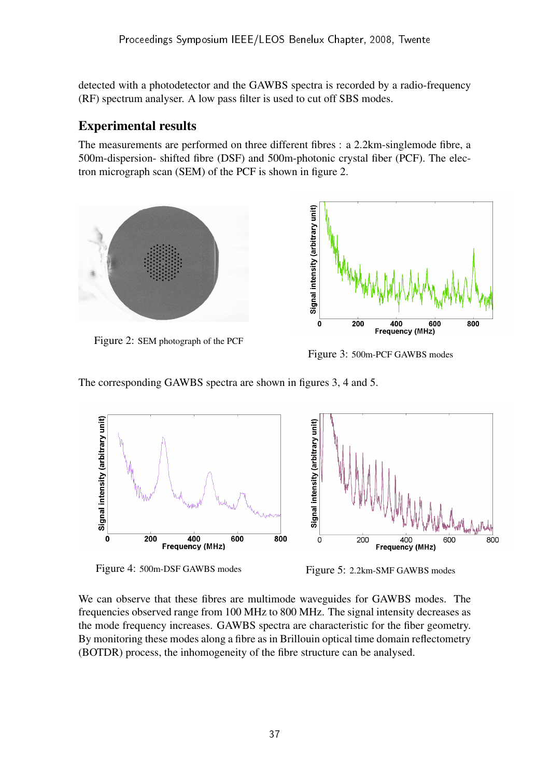detected with a photodetector and the GAWBS spectra is recorded by a radio-frequency (RF) spectrum analyser. A low pass filter is used to cut off SBS modes.

## Experimental results

The measurements are performed on three different fibres : a 2.2km-singlemode fibre, a 500m-dispersion- shifted fibre (DSF) and 500m-photonic crystal fiber (PCF). The electron micrograph scan (SEM) of the PCF is shown in figure 2.



Figure 3: 500m-PCF GAWBS modes

The corresponding GAWBS spectra are shown in figures 3, 4 and 5.



Figure 4: 500m-DSF GAWBS modes<br>Figure 5: 2.2km-SMF GAWBS modes

We can observe that these fibres are multimode waveguides for GAWBS modes. The frequencies observed range from 100 MHz to 800 MHz. The signal intensity decreases as the mode frequency increases. GAWBS spectra are characteristic for the fiber geometry. By monitoring these modes along a fibre as in Brillouin optical time domain reflectometry (BOTDR) process, the inhomogeneity of the fibre structure can be analysed.